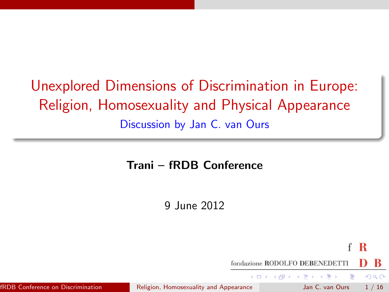# Unexplored Dimensions of Discrimination in Europe: Religion, Homosexuality and Physical Appearance Discussion by Jan C. van Ours

#### Trani – fRDB Conference

<span id="page-0-0"></span>9 June 2012

 $\mathbf R$ f fondazione RODOLFO DEBENEDETTI  $QQQ$ - 4母 ト 4 ヨ ト 4 ヨ ト fRDB Conference on Discrimination (*[Religion, Homosexuality and Appearance](#page-15-0)* Jan C. van Ours 1 / 16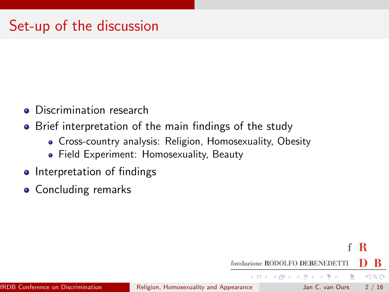# Set-up of the discussion

- **o** Discrimination research
- Brief interpretation of the main findings of the study
	- Cross-country analysis: Religion, Homosexuality, Obesity
	- Field Experiment: Homosexuality, Beauty
- Interpretation of findings
- **Concluding remarks**

R f

 $QQ$ 

D.

fondazione RODOLFO DEBENEDETTI  $\left\{ \begin{array}{ccc} 1 & 0 & 0 \\ 0 & 1 & 0 \end{array} \right.$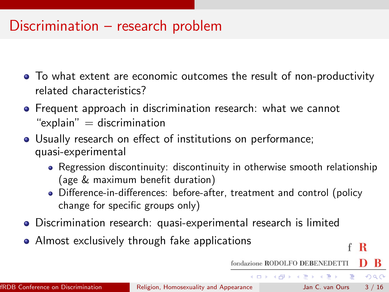#### Discrimination – research problem

- To what extent are economic outcomes the result of non-productivity related characteristics?
- **•** Frequent approach in discrimination research: what we cannot " $explain" = discrimination$
- Usually research on effect of institutions on performance; quasi-experimental
	- Regression discontinuity: discontinuity in otherwise smooth relationship (age & maximum benefit duration)
	- Difference-in-differences: before-after, treatment and control (policy change for specific groups only)
- Discrimination research: quasi-experimental research is limited
- Almost exclusively through fake applications

R

 $OQ$ 

fondazione RODOLFO DEBENEDETTI  $\mathbf{A} \equiv \mathbf{A} + \mathbf{A} \mathbf{B} + \mathbf{A} \mathbf{B} + \mathbf{A} \mathbf{B} + \mathbf{B} \mathbf{B}$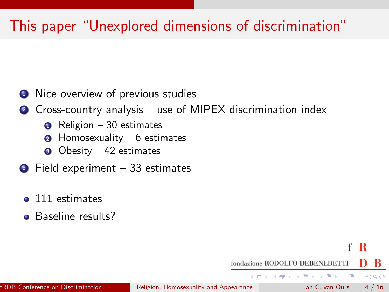# This paper "Unexplored dimensions of discrimination"

- **1** Nice overview of previous studies
- <sup>2</sup> Cross-country analysis use of MIPEX discrimination index

R f

 $QQQ$ 

fondazione RODOLFO DEBENEDETTI

イロト イ押ト イヨト イヨト

- Religion 30 estimates
- Homosexuality  $6$  estimates
- $\bullet$  Obesity 42 estimates
- $\bullet$  Field experiment 33 estimates
	- 111 estimates
	- Baseline results?

fRDB Conference on Discrimination (*i)* [Religion, Homosexuality and Appearance](#page-0-0) Jan C. van Ours 4 / 16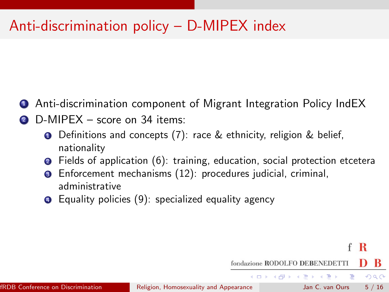# Anti-discrimination policy – D-MIPEX index

- <sup>1</sup> Anti-discrimination component of Migrant Integration Policy IndEX
- D-MIPEX score on 34 items:
	- **O** Definitions and concepts  $(7)$ : race & ethnicity, religion & belief, nationality
	- <sup>2</sup> Fields of application (6): training, education, social protection etcetera

R

 $QQ$ 

- Enforcement mechanisms (12): procedures judicial, criminal, administrative
- **•** Equality policies (9): specialized equality agency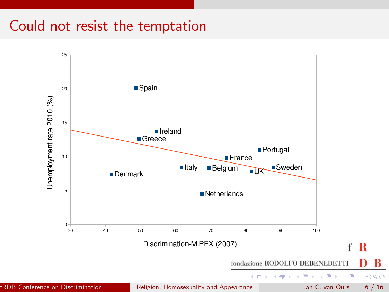### Could not resist the temptation

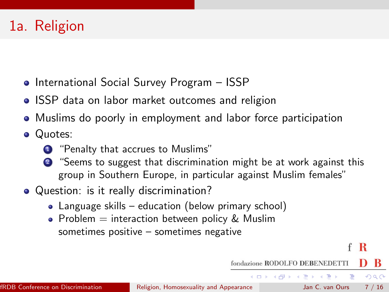# 1a. Religion

- **International Social Survey Program ISSP**
- ISSP data on labor market outcomes and religion
- Muslims do poorly in employment and labor force participation
- Quotes:
	- **1** "Penalty that accrues to Muslims"
	- <sup>2</sup> "Seems to suggest that discrimination might be at work against this group in Southern Europe, in particular against Muslim females"
- Question: is it really discrimination?
	- Language skills education (below primary school)
	- Problem  $=$  interaction between policy & Muslim sometimes positive – sometimes negative

R

 $QQ$ 

fondazione RODOLFO DEBENEDETTI

 $\left\{ \begin{array}{ccc} 1 & 0 & 0 \\ 0 & 1 & 0 \end{array} \right.$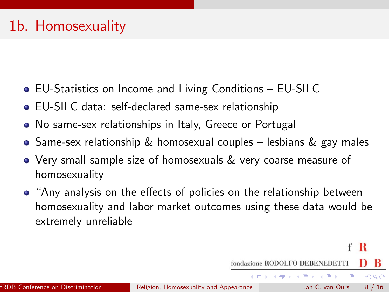## 1b. Homosexuality

- EU-Statistics on Income and Living Conditions EU-SILC
- EU-SILC data: self-declared same-sex relationship
- No same-sex relationships in Italy, Greece or Portugal
- $\bullet$  Same-sex relationship & homosexual couples lesbians & gay males
- Very small sample size of homosexuals & very coarse measure of homosexuality
- "Any analysis on the effects of policies on the relationship between homosexuality and labor market outcomes using these data would be extremely unreliable

R f

 $QQ$ 

- a

fondazione RODOLFO DEBENEDETTI  $\left\{ \begin{array}{ccc} 1 & 0 & 0 \\ 0 & 1 & 0 \end{array} \right.$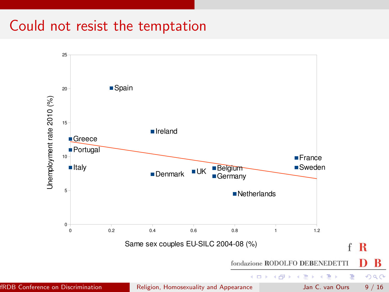### Could not resist the temptation

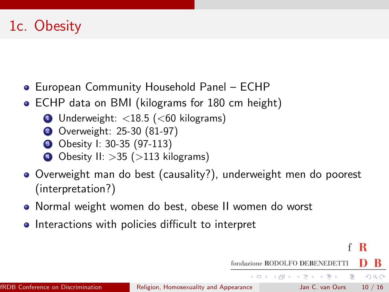# 1c. Obesity

- European Community Household Panel ECHP
- ECHP data on BMI (kilograms for 180 cm height)
	- **1** Underweight:  $<$ 18.5 ( $<$ 60 kilograms)
	- <sup>2</sup> Overweight: 25-30 (81-97)
	- **3** Obesity I: 30-35 (97-113)
	- $\bullet$  Obesity II: > 35 (> 113 kilograms)
- Overweight man do best (causality?), underweight men do poorest (interpretation?)
- Normal weight women do best, obese II women do worst
- Interactions with policies difficult to interpret

f R

 $QQ$ 

fondazione RODOLFO DEBENEDETTI

 $\left\{ \begin{array}{ccc} 1 & 0 & 0 \\ 0 & 1 & 0 \end{array} \right.$ 

画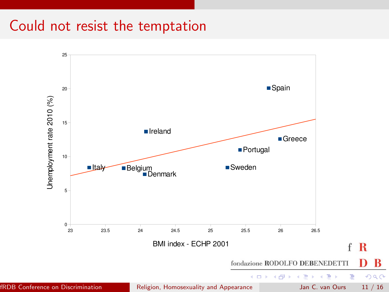#### Could not resist the temptation

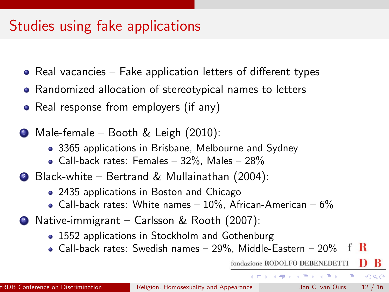### Studies using fake applications

- $\bullet$  Real vacancies Fake application letters of different types
- Randomized allocation of stereotypical names to letters
- Real response from employers (if any)
- <sup>1</sup> Male-female Booth & Leigh (2010):
	- 3365 applications in Brisbane, Melbourne and Sydney
	- Call-back rates: Females  $32\%$ , Males  $28\%$
- <sup>2</sup> Black-white Bertrand & Mullainathan (2004):
	- 2435 applications in Boston and Chicago
	- Call-back rates: White names  $10\%$ , African-American  $6\%$
- <sup>3</sup> Native-immigrant Carlsson & Rooth (2007):
	- 1552 applications in Stockholm and Gothenburg
	- Call-back rates: Swedish names 29%, Middle-Eastern 20% R

fondazione RODOLFO DEBENEDETTI

 $\left\{ \begin{array}{ccc} 1 & 0 & 0 \\ 0 & 1 & 0 \end{array} \right.$ 

 $QQ$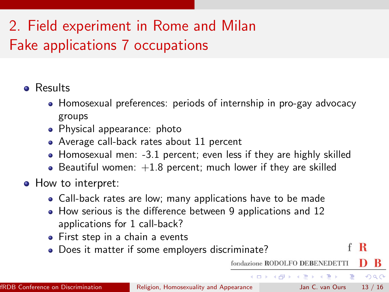# 2. Field experiment in Rome and Milan Fake applications 7 occupations

#### **o** Results

- Homosexual preferences: periods of internship in pro-gay advocacy groups
- Physical appearance: photo
- Average call-back rates about 11 percent
- Homosexual men: -3.1 percent; even less if they are highly skilled
- Beautiful women:  $+1.8$  percent; much lower if they are skilled
- How to interpret:
	- Call-back rates are low; many applications have to be made
	- How serious is the difference between 9 applications and 12 applications for 1 call-back?
	- First step in a chain a events
	- Does it matter if some employers discriminate?

 $QQ$ 

fondazione RODOLFO DEBENEDETTI

 $\left\{ \begin{array}{ccc} 1 & 0 & 0 \\ 0 & 1 & 0 \end{array} \right.$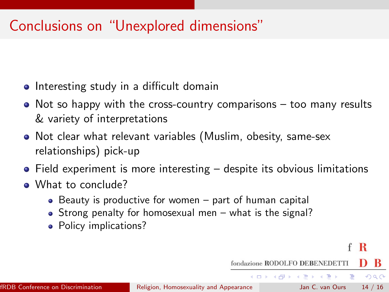# Conclusions on "Unexplored dimensions"

- Interesting study in a difficult domain
- $\bullet$  Not so happy with the cross-country comparisons too many results & variety of interpretations
- Not clear what relevant variables (Muslim, obesity, same-sex relationships) pick-up
- Field experiment is more interesting despite its obvious limitations
- What to conclude?
	- $\bullet$  Beauty is productive for women part of human capital
	- Strong penalty for homosexual men what is the signal?
	- Policy implications?

R

 $QQ$ 

fondazione RODOLFO DEBENEDETTI

 $\left\{ \begin{array}{ccc} 1 & 0 & 0 \\ 0 & 1 & 0 \end{array} \right.$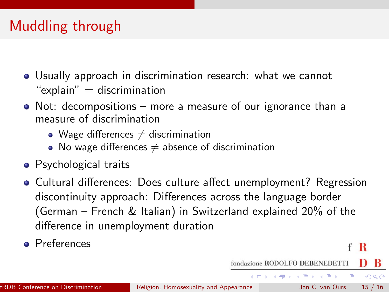# Muddling through

- Usually approach in discrimination research: what we cannot " $explain" = discrimination$
- Not: decompositions more a measure of our ignorance than a measure of discrimination
	- Wage differences  $\neq$  discrimination
	- $\bullet$  No wage differences  $\neq$  absence of discrimination
- **•** Psychological traits
- Cultural differences: Does culture affect unemployment? Regression discontinuity approach: Differences across the language border (German – French & Italian) in Switzerland explained 20% of the difference in unemployment duration
- **Preferences**

R

 $QQ$ 

fondazione RODOLFO DEBENEDETTI KONKAPIK KENYEN E